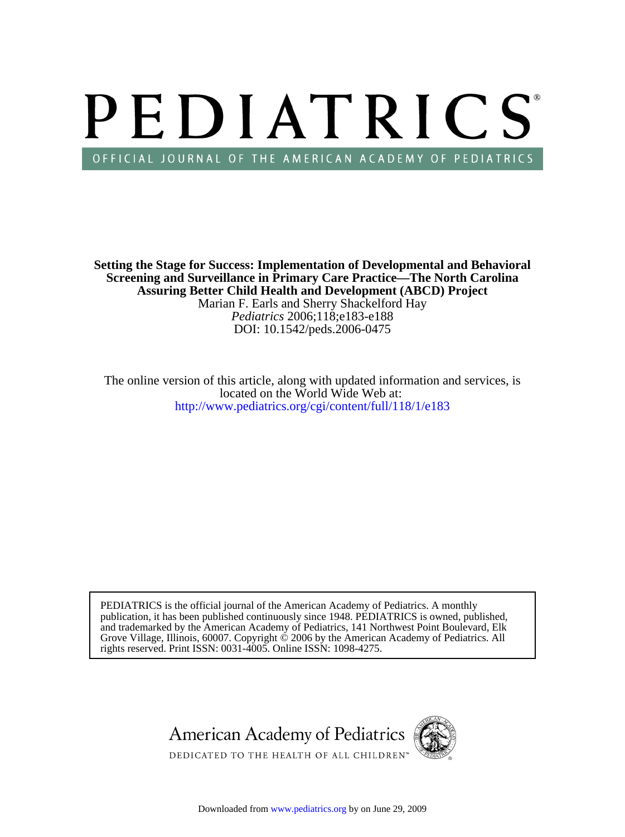# PEDIATRICS OFFICIAL JOURNAL OF THE AMERICAN ACADEMY OF PEDIATRICS

DOI: 10.1542/peds.2006-0475 *Pediatrics* 2006;118;e183-e188 Marian F. Earls and Sherry Shackelford Hay **Assuring Better Child Health and Development (ABCD) Project Screening and Surveillance in Primary Care Practice—The North Carolina Setting the Stage for Success: Implementation of Developmental and Behavioral**

<http://www.pediatrics.org/cgi/content/full/118/1/e183> located on the World Wide Web at: The online version of this article, along with updated information and services, is

rights reserved. Print ISSN: 0031-4005. Online ISSN: 1098-4275. Grove Village, Illinois, 60007. Copyright  $\ddot{\odot}$  2006 by the American Academy of Pediatrics. All and trademarked by the American Academy of Pediatrics, 141 Northwest Point Boulevard, Elk publication, it has been published continuously since 1948. PEDIATRICS is owned, published, PEDIATRICS is the official journal of the American Academy of Pediatrics. A monthly

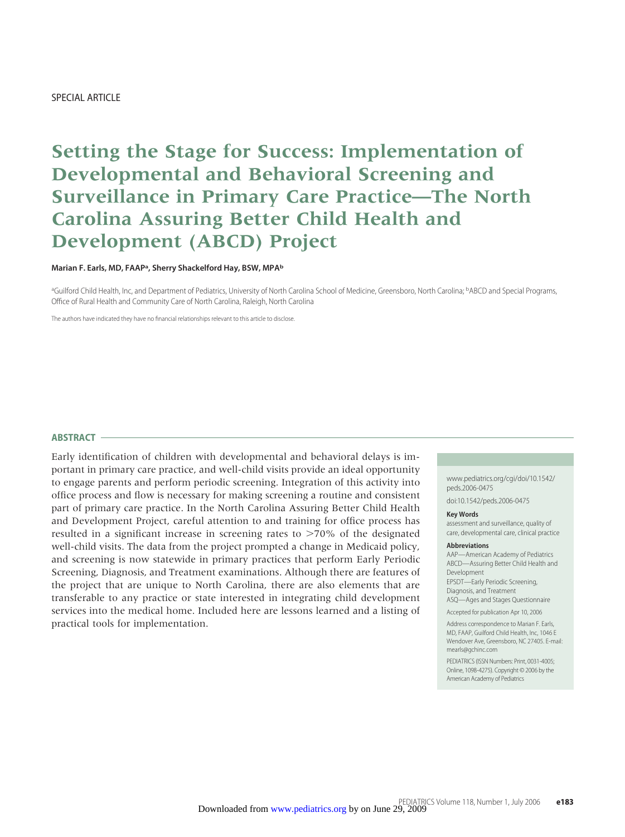#### SPECIAL ARTICLE

## **Setting the Stage for Success: Implementation of Developmental and Behavioral Screening and Surveillance in Primary Care Practice—The North Carolina Assuring Better Child Health and Development (ABCD) Project**

#### **Marian F. Earls, MD, FAAPa, Sherry Shackelford Hay, BSW, MPAb**

aGuilford Child Health, Inc, and Department of Pediatrics, University of North Carolina School of Medicine, Greensboro, North Carolina; bABCD and Special Programs, Office of Rural Health and Community Care of North Carolina, Raleigh, North Carolina

The authors have indicated they have no financial relationships relevant to this article to disclose.

#### **ABSTRACT**

Early identification of children with developmental and behavioral delays is important in primary care practice, and well-child visits provide an ideal opportunity to engage parents and perform periodic screening. Integration of this activity into office process and flow is necessary for making screening a routine and consistent part of primary care practice. In the North Carolina Assuring Better Child Health and Development Project, careful attention to and training for office process has resulted in a significant increase in screening rates to  $>70\%$  of the designated well-child visits. The data from the project prompted a change in Medicaid policy, and screening is now statewide in primary practices that perform Early Periodic Screening, Diagnosis, and Treatment examinations. Although there are features of the project that are unique to North Carolina, there are also elements that are transferable to any practice or state interested in integrating child development services into the medical home. Included here are lessons learned and a listing of practical tools for implementation.

www.pediatrics.org/cgi/doi/10.1542/ peds.2006-0475

doi:10.1542/peds.2006-0475

#### **Key Words**

assessment and surveillance, quality of care, developmental care, clinical practice

#### **Abbreviations**

AAP—American Academy of Pediatrics ABCD—Assuring Better Child Health and Development

EPSDT—Early Periodic Screening, Diagnosis, and Treatment ASQ—Ages and Stages Questionnaire

Accepted for publication Apr 10, 2006

Address correspondence to Marian F. Earls, MD, FAAP, Guilford Child Health, Inc, 1046 E Wendover Ave, Greensboro, NC 27405. E-mail: mearls@gchinc.com

PEDIATRICS (ISSN Numbers: Print, 0031-4005; Online, 1098-4275). Copyright © 2006 by the American Academy of Pediatrics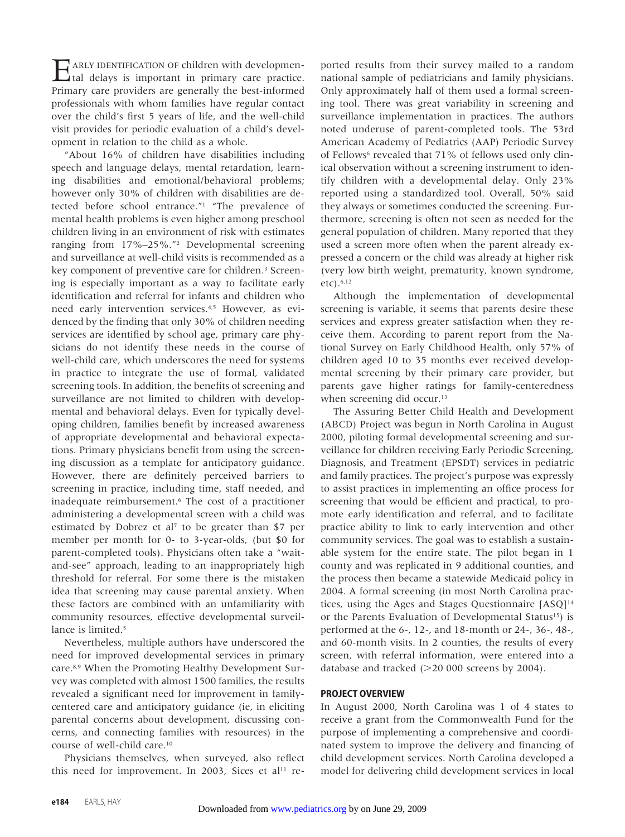EARLY IDENTIFICATION OF children with developmental delays is important in primary care practice. Primary care providers are generally the best-informed professionals with whom families have regular contact over the child's first 5 years of life, and the well-child visit provides for periodic evaluation of a child's development in relation to the child as a whole.

"About 16% of children have disabilities including speech and language delays, mental retardation, learning disabilities and emotional/behavioral problems; however only 30% of children with disabilities are detected before school entrance."1 "The prevalence of mental health problems is even higher among preschool children living in an environment of risk with estimates ranging from 17%–25%."2 Developmental screening and surveillance at well-child visits is recommended as a key component of preventive care for children.<sup>3</sup> Screening is especially important as a way to facilitate early identification and referral for infants and children who need early intervention services.4,5 However, as evidenced by the finding that only 30% of children needing services are identified by school age, primary care physicians do not identify these needs in the course of well-child care, which underscores the need for systems in practice to integrate the use of formal, validated screening tools. In addition, the benefits of screening and surveillance are not limited to children with developmental and behavioral delays. Even for typically developing children, families benefit by increased awareness of appropriate developmental and behavioral expectations. Primary physicians benefit from using the screening discussion as a template for anticipatory guidance. However, there are definitely perceived barriers to screening in practice, including time, staff needed, and inadequate reimbursement.6 The cost of a practitioner administering a developmental screen with a child was estimated by Dobrez et al<sup>7</sup> to be greater than \$7 per member per month for 0- to 3-year-olds, (but \$0 for parent-completed tools). Physicians often take a "waitand-see" approach, leading to an inappropriately high threshold for referral. For some there is the mistaken idea that screening may cause parental anxiety. When these factors are combined with an unfamiliarity with community resources, effective developmental surveillance is limited.<sup>5</sup>

Nevertheless, multiple authors have underscored the need for improved developmental services in primary care.8,9 When the Promoting Healthy Development Survey was completed with almost 1500 families, the results revealed a significant need for improvement in familycentered care and anticipatory guidance (ie, in eliciting parental concerns about development, discussing concerns, and connecting families with resources) in the course of well-child care.10

Physicians themselves, when surveyed, also reflect this need for improvement. In 2003, Sices et al<sup>11</sup> reported results from their survey mailed to a random national sample of pediatricians and family physicians. Only approximately half of them used a formal screening tool. There was great variability in screening and surveillance implementation in practices. The authors noted underuse of parent-completed tools. The 53rd American Academy of Pediatrics (AAP) Periodic Survey of Fellows<sup>6</sup> revealed that 71% of fellows used only clinical observation without a screening instrument to identify children with a developmental delay. Only 23% reported using a standardized tool. Overall, 50% said they always or sometimes conducted the screening. Furthermore, screening is often not seen as needed for the general population of children. Many reported that they used a screen more often when the parent already expressed a concern or the child was already at higher risk (very low birth weight, prematurity, known syndrome, etc).6,12

Although the implementation of developmental screening is variable, it seems that parents desire these services and express greater satisfaction when they receive them. According to parent report from the National Survey on Early Childhood Health, only 57% of children aged 10 to 35 months ever received developmental screening by their primary care provider, but parents gave higher ratings for family-centeredness when screening did occur.<sup>13</sup>

The Assuring Better Child Health and Development (ABCD) Project was begun in North Carolina in August 2000, piloting formal developmental screening and surveillance for children receiving Early Periodic Screening, Diagnosis, and Treatment (EPSDT) services in pediatric and family practices. The project's purpose was expressly to assist practices in implementing an office process for screening that would be efficient and practical, to promote early identification and referral, and to facilitate practice ability to link to early intervention and other community services. The goal was to establish a sustainable system for the entire state. The pilot began in 1 county and was replicated in 9 additional counties, and the process then became a statewide Medicaid policy in 2004. A formal screening (in most North Carolina practices, using the Ages and Stages Questionnaire  $[ASQ]^{14}$ or the Parents Evaluation of Developmental Status<sup>15</sup>) is performed at the 6-, 12-, and 18-month or 24-, 36-, 48-, and 60-month visits. In 2 counties, the results of every screen, with referral information, were entered into a database and tracked  $(>20 000$  screens by 2004).

#### **PROJECT OVERVIEW**

In August 2000, North Carolina was 1 of 4 states to receive a grant from the Commonwealth Fund for the purpose of implementing a comprehensive and coordinated system to improve the delivery and financing of child development services. North Carolina developed a model for delivering child development services in local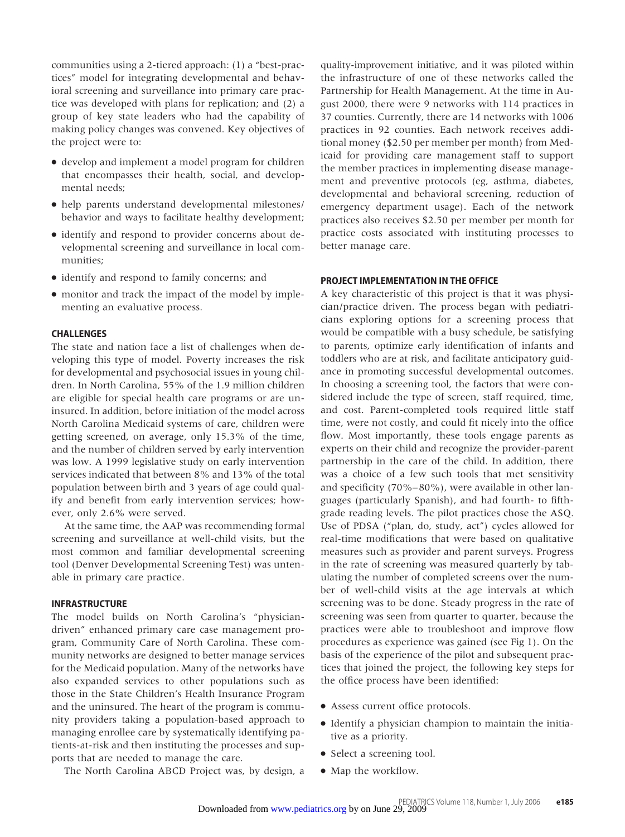communities using a 2-tiered approach: (1) a "best-practices" model for integrating developmental and behavioral screening and surveillance into primary care practice was developed with plans for replication; and (2) a group of key state leaders who had the capability of making policy changes was convened. Key objectives of the project were to:

- develop and implement a model program for children that encompasses their health, social, and developmental needs;
- help parents understand developmental milestones/ behavior and ways to facilitate healthy development;
- identify and respond to provider concerns about developmental screening and surveillance in local communities;
- identify and respond to family concerns; and
- monitor and track the impact of the model by implementing an evaluative process.

#### **CHALLENGES**

The state and nation face a list of challenges when developing this type of model. Poverty increases the risk for developmental and psychosocial issues in young children. In North Carolina, 55% of the 1.9 million children are eligible for special health care programs or are uninsured. In addition, before initiation of the model across North Carolina Medicaid systems of care, children were getting screened, on average, only 15.3% of the time, and the number of children served by early intervention was low. A 1999 legislative study on early intervention services indicated that between 8% and 13% of the total population between birth and 3 years of age could qualify and benefit from early intervention services; however, only 2.6% were served.

At the same time, the AAP was recommending formal screening and surveillance at well-child visits, but the most common and familiar developmental screening tool (Denver Developmental Screening Test) was untenable in primary care practice.

#### **INFRASTRUCTURE**

The model builds on North Carolina's "physiciandriven" enhanced primary care case management program, Community Care of North Carolina. These community networks are designed to better manage services for the Medicaid population. Many of the networks have also expanded services to other populations such as those in the State Children's Health Insurance Program and the uninsured. The heart of the program is community providers taking a population-based approach to managing enrollee care by systematically identifying patients-at-risk and then instituting the processes and supports that are needed to manage the care.

The North Carolina ABCD Project was, by design, a

quality-improvement initiative, and it was piloted within the infrastructure of one of these networks called the Partnership for Health Management. At the time in August 2000, there were 9 networks with 114 practices in 37 counties. Currently, there are 14 networks with 1006 practices in 92 counties. Each network receives additional money (\$2.50 per member per month) from Medicaid for providing care management staff to support the member practices in implementing disease management and preventive protocols (eg, asthma, diabetes, developmental and behavioral screening, reduction of emergency department usage). Each of the network practices also receives \$2.50 per member per month for practice costs associated with instituting processes to better manage care.

#### **PROJECT IMPLEMENTATION IN THE OFFICE**

A key characteristic of this project is that it was physician/practice driven. The process began with pediatricians exploring options for a screening process that would be compatible with a busy schedule, be satisfying to parents, optimize early identification of infants and toddlers who are at risk, and facilitate anticipatory guidance in promoting successful developmental outcomes. In choosing a screening tool, the factors that were considered include the type of screen, staff required, time, and cost. Parent-completed tools required little staff time, were not costly, and could fit nicely into the office flow. Most importantly, these tools engage parents as experts on their child and recognize the provider-parent partnership in the care of the child. In addition, there was a choice of a few such tools that met sensitivity and specificity (70%– 80%), were available in other languages (particularly Spanish), and had fourth- to fifthgrade reading levels. The pilot practices chose the ASQ. Use of PDSA ("plan, do, study, act") cycles allowed for real-time modifications that were based on qualitative measures such as provider and parent surveys. Progress in the rate of screening was measured quarterly by tabulating the number of completed screens over the number of well-child visits at the age intervals at which screening was to be done. Steady progress in the rate of screening was seen from quarter to quarter, because the practices were able to troubleshoot and improve flow procedures as experience was gained (see Fig 1). On the basis of the experience of the pilot and subsequent practices that joined the project, the following key steps for the office process have been identified:

- Assess current office protocols.
- Identify a physician champion to maintain the initiative as a priority.
- Select a screening tool.
- Map the workflow.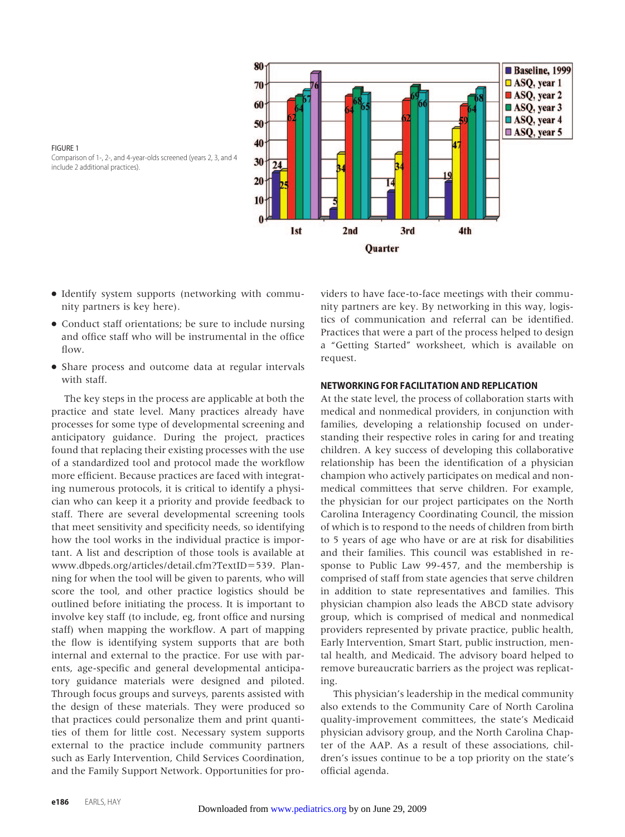

FIGURE 1 Comparison of 1-, 2-, and 4-year-olds screened (years 2, 3, and 4 include 2 additional practices).

- Identify system supports (networking with community partners is key here).
- Conduct staff orientations; be sure to include nursing and office staff who will be instrumental in the office flow.
- Share process and outcome data at regular intervals with staff.

The key steps in the process are applicable at both the practice and state level. Many practices already have processes for some type of developmental screening and anticipatory guidance. During the project, practices found that replacing their existing processes with the use of a standardized tool and protocol made the workflow more efficient. Because practices are faced with integrating numerous protocols, it is critical to identify a physician who can keep it a priority and provide feedback to staff. There are several developmental screening tools that meet sensitivity and specificity needs, so identifying how the tool works in the individual practice is important. A list and description of those tools is available at www.dbpeds.org/articles/detail.cfm?TextID-539. Planning for when the tool will be given to parents, who will score the tool, and other practice logistics should be outlined before initiating the process. It is important to involve key staff (to include, eg, front office and nursing staff) when mapping the workflow. A part of mapping the flow is identifying system supports that are both internal and external to the practice. For use with parents, age-specific and general developmental anticipatory guidance materials were designed and piloted. Through focus groups and surveys, parents assisted with the design of these materials. They were produced so that practices could personalize them and print quantities of them for little cost. Necessary system supports external to the practice include community partners such as Early Intervention, Child Services Coordination, and the Family Support Network. Opportunities for providers to have face-to-face meetings with their community partners are key. By networking in this way, logistics of communication and referral can be identified. Practices that were a part of the process helped to design a "Getting Started" worksheet, which is available on request.

#### **NETWORKING FOR FACILITATION AND REPLICATION**

At the state level, the process of collaboration starts with medical and nonmedical providers, in conjunction with families, developing a relationship focused on understanding their respective roles in caring for and treating children. A key success of developing this collaborative relationship has been the identification of a physician champion who actively participates on medical and nonmedical committees that serve children. For example, the physician for our project participates on the North Carolina Interagency Coordinating Council, the mission of which is to respond to the needs of children from birth to 5 years of age who have or are at risk for disabilities and their families. This council was established in response to Public Law 99-457, and the membership is comprised of staff from state agencies that serve children in addition to state representatives and families. This physician champion also leads the ABCD state advisory group, which is comprised of medical and nonmedical providers represented by private practice, public health, Early Intervention, Smart Start, public instruction, mental health, and Medicaid. The advisory board helped to remove bureaucratic barriers as the project was replicating.

This physician's leadership in the medical community also extends to the Community Care of North Carolina quality-improvement committees, the state's Medicaid physician advisory group, and the North Carolina Chapter of the AAP. As a result of these associations, children's issues continue to be a top priority on the state's official agenda.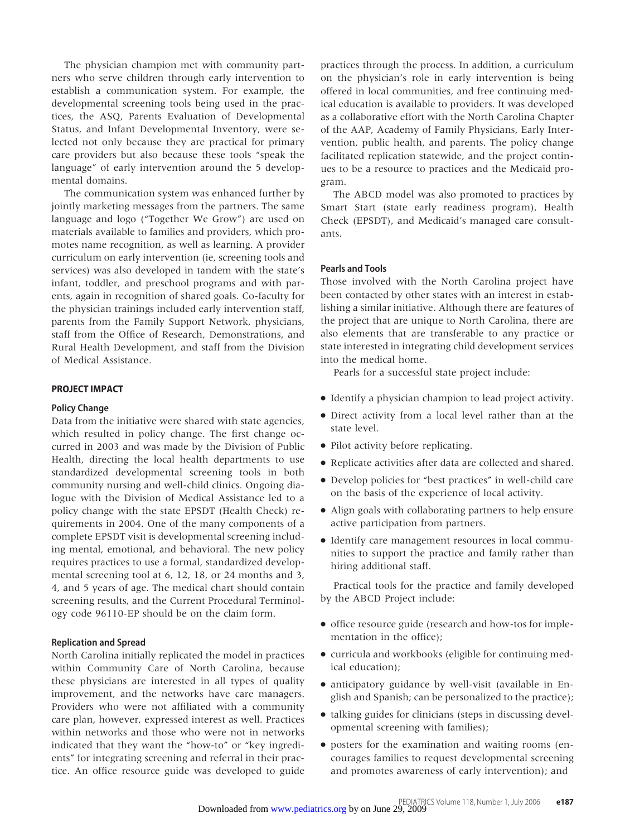The physician champion met with community partners who serve children through early intervention to establish a communication system. For example, the developmental screening tools being used in the practices, the ASQ, Parents Evaluation of Developmental Status, and Infant Developmental Inventory, were selected not only because they are practical for primary care providers but also because these tools "speak the language" of early intervention around the 5 developmental domains.

The communication system was enhanced further by jointly marketing messages from the partners. The same language and logo ("Together We Grow") are used on materials available to families and providers, which promotes name recognition, as well as learning. A provider curriculum on early intervention (ie, screening tools and services) was also developed in tandem with the state's infant, toddler, and preschool programs and with parents, again in recognition of shared goals. Co-faculty for the physician trainings included early intervention staff, parents from the Family Support Network, physicians, staff from the Office of Research, Demonstrations, and Rural Health Development, and staff from the Division of Medical Assistance.

#### **PROJECT IMPACT**

#### **Policy Change**

Data from the initiative were shared with state agencies, which resulted in policy change. The first change occurred in 2003 and was made by the Division of Public Health, directing the local health departments to use standardized developmental screening tools in both community nursing and well-child clinics. Ongoing dialogue with the Division of Medical Assistance led to a policy change with the state EPSDT (Health Check) requirements in 2004. One of the many components of a complete EPSDT visit is developmental screening including mental, emotional, and behavioral. The new policy requires practices to use a formal, standardized developmental screening tool at 6, 12, 18, or 24 months and 3, 4, and 5 years of age. The medical chart should contain screening results, and the Current Procedural Terminology code 96110-EP should be on the claim form.

#### **Replication and Spread**

North Carolina initially replicated the model in practices within Community Care of North Carolina, because these physicians are interested in all types of quality improvement, and the networks have care managers. Providers who were not affiliated with a community care plan, however, expressed interest as well. Practices within networks and those who were not in networks indicated that they want the "how-to" or "key ingredients" for integrating screening and referral in their practice. An office resource guide was developed to guide practices through the process. In addition, a curriculum on the physician's role in early intervention is being offered in local communities, and free continuing medical education is available to providers. It was developed as a collaborative effort with the North Carolina Chapter of the AAP, Academy of Family Physicians, Early Intervention, public health, and parents. The policy change facilitated replication statewide, and the project continues to be a resource to practices and the Medicaid program.

The ABCD model was also promoted to practices by Smart Start (state early readiness program), Health Check (EPSDT), and Medicaid's managed care consultants.

#### **Pearls and Tools**

Those involved with the North Carolina project have been contacted by other states with an interest in establishing a similar initiative. Although there are features of the project that are unique to North Carolina, there are also elements that are transferable to any practice or state interested in integrating child development services into the medical home.

Pearls for a successful state project include:

- Identify a physician champion to lead project activity.
- Direct activity from a local level rather than at the state level.
- Pilot activity before replicating.
- Replicate activities after data are collected and shared.
- Develop policies for "best practices" in well-child care on the basis of the experience of local activity.
- Align goals with collaborating partners to help ensure active participation from partners.
- Identify care management resources in local communities to support the practice and family rather than hiring additional staff.

Practical tools for the practice and family developed by the ABCD Project include:

- office resource guide (research and how-tos for implementation in the office);
- curricula and workbooks (eligible for continuing medical education);
- anticipatory guidance by well-visit (available in English and Spanish; can be personalized to the practice);
- talking guides for clinicians (steps in discussing developmental screening with families);
- posters for the examination and waiting rooms (encourages families to request developmental screening and promotes awareness of early intervention); and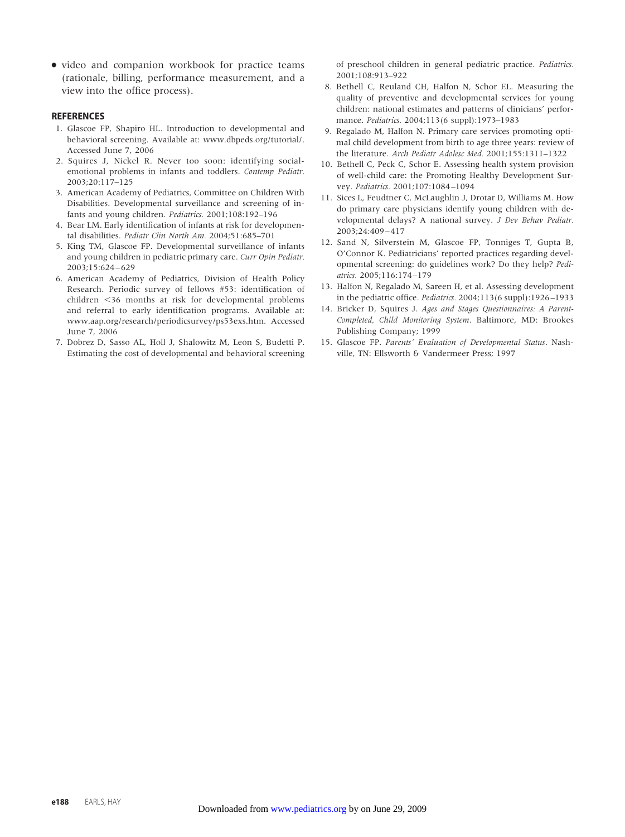● video and companion workbook for practice teams (rationale, billing, performance measurement, and a view into the office process).

#### **REFERENCES**

- 1. Glascoe FP, Shapiro HL. Introduction to developmental and behavioral screening. Available at: www.dbpeds.org/tutorial/. Accessed June 7, 2006
- 2. Squires J, Nickel R. Never too soon: identifying socialemotional problems in infants and toddlers. *Contemp Pediatr.* 2003;20:117–125
- 3. American Academy of Pediatrics, Committee on Children With Disabilities. Developmental surveillance and screening of infants and young children. *Pediatrics.* 2001;108:192–196
- 4. Bear LM. Early identification of infants at risk for developmental disabilities. *Pediatr Clin North Am.* 2004;51:685–701
- 5. King TM, Glascoe FP. Developmental surveillance of infants and young children in pediatric primary care. *Curr Opin Pediatr.* 2003;15:624 – 629
- 6. American Academy of Pediatrics, Division of Health Policy Research. Periodic survey of fellows #53: identification of children 36 months at risk for developmental problems and referral to early identification programs. Available at: www.aap.org/research/periodicsurvey/ps53exs.htm. Accessed June 7, 2006
- 7. Dobrez D, Sasso AL, Holl J, Shalowitz M, Leon S, Budetti P. Estimating the cost of developmental and behavioral screening

of preschool children in general pediatric practice. *Pediatrics.* 2001;108:913–922

- 8. Bethell C, Reuland CH, Halfon N, Schor EL. Measuring the quality of preventive and developmental services for young children: national estimates and patterns of clinicians' performance. *Pediatrics.* 2004;113(6 suppl):1973–1983
- 9. Regalado M, Halfon N. Primary care services promoting optimal child development from birth to age three years: review of the literature. *Arch Pediatr Adolesc Med.* 2001;155:1311–1322
- 10. Bethell C, Peck C, Schor E. Assessing health system provision of well-child care: the Promoting Healthy Development Survey. *Pediatrics.* 2001;107:1084 –1094
- 11. Sices L, Feudtner C, McLaughlin J, Drotar D, Williams M. How do primary care physicians identify young children with developmental delays? A national survey. *J Dev Behav Pediatr.* 2003;24:409 – 417
- 12. Sand N, Silverstein M, Glascoe FP, Tonniges T, Gupta B, O'Connor K. Pediatricians' reported practices regarding developmental screening: do guidelines work? Do they help? *Pediatrics.* 2005;116:174 –179
- 13. Halfon N, Regalado M, Sareen H, et al. Assessing development in the pediatric office. *Pediatrics.* 2004;113(6 suppl):1926 –1933
- 14. Bricker D, Squires J. *Ages and Stages Questionnaires: A Parent-Completed, Child Monitoring System*. Baltimore, MD: Brookes Publishing Company; 1999
- 15. Glascoe FP. *Parents' Evaluation of Developmental Status*. Nashville, TN: Ellsworth & Vandermeer Press; 1997